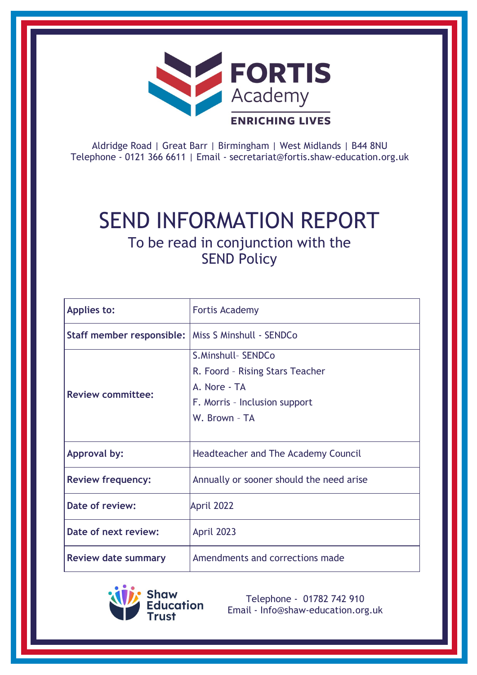

Aldridge Road | Great Barr | Birmingham | West Midlands | B44 8NU Telephone - 0121 366 6611 | Email - [secretariat@fortis.shaw-education.org.uk](mailto:secretariat@fortis.shaw-education.org.uk)

# SEND INFORMATION REPORT To be read in conjunction with the

SEND Policy

| <b>Applies to:</b>                                   | <b>Fortis Academy</b>                    |
|------------------------------------------------------|------------------------------------------|
| Staff member responsible:   Miss S Minshull - SENDCo |                                          |
| <b>Review committee:</b>                             | S.Minshull- SENDCo                       |
|                                                      | R. Foord - Rising Stars Teacher          |
|                                                      | A. Nore - TA                             |
|                                                      | F. Morris - Inclusion support            |
|                                                      | W. Brown - TA                            |
|                                                      |                                          |
| <b>Approval by:</b>                                  | Headteacher and The Academy Council      |
| <b>Review frequency:</b>                             | Annually or sooner should the need arise |
| Date of review:                                      | April 2022                               |
| Date of next review:                                 | April 2023                               |
| <b>Review date summary</b>                           | Amendments and corrections made          |



Telephone - 01782 742 910 Email - [Info@shaw-education.org.uk](mailto:Info@shaw-education.org.uk)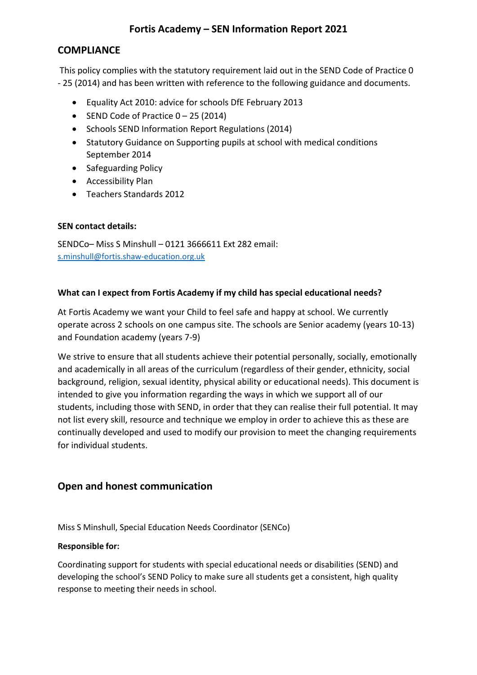# **Fortis Academy – SEN Information Report 2021**

## **COMPLIANCE**

This policy complies with the statutory requirement laid out in the SEND Code of Practice 0 - 25 (2014) and has been written with reference to the following guidance and documents.

- Equality Act 2010: advice for schools DfE February 2013
- SEND Code of Practice  $0 25$  (2014)
- Schools SEND Information Report Regulations (2014)
- Statutory Guidance on Supporting pupils at school with medical conditions September 2014
- Safeguarding Policy
- Accessibility Plan
- Teachers Standards 2012

## **SEN contact details:**

SENDCo– Miss S Minshull – 0121 3666611 Ext 282 email: [s.minshull@fortis.shaw-education.org.uk](mailto:s.minshull@fortis.shaw-education.org.uk)

## **What can I expect from Fortis Academy if my child has special educational needs?**

At Fortis Academy we want your Child to feel safe and happy at school. We currently operate across 2 schools on one campus site. The schools are Senior academy (years 10-13) and Foundation academy (years 7-9)

We strive to ensure that all students achieve their potential personally, socially, emotionally and academically in all areas of the curriculum (regardless of their gender, ethnicity, social background, religion, sexual identity, physical ability or educational needs). This document is intended to give you information regarding the ways in which we support all of our students, including those with SEND, in order that they can realise their full potential. It may not list every skill, resource and technique we employ in order to achieve this as these are continually developed and used to modify our provision to meet the changing requirements for individual students.

# **Open and honest communication**

Miss S Minshull, Special Education Needs Coordinator (SENCo)

## **Responsible for:**

Coordinating support for students with special educational needs or disabilities (SEND) and developing the school's SEND Policy to make sure all students get a consistent, high quality response to meeting their needs in school.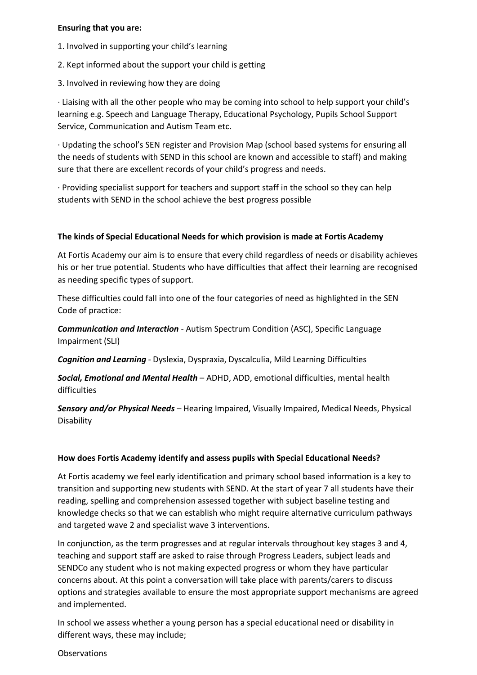#### **Ensuring that you are:**

- 1. Involved in supporting your child's learning
- 2. Kept informed about the support your child is getting
- 3. Involved in reviewing how they are doing

· Liaising with all the other people who may be coming into school to help support your child's learning e.g. Speech and Language Therapy, Educational Psychology, Pupils School Support Service, Communication and Autism Team etc.

· Updating the school's SEN register and Provision Map (school based systems for ensuring all the needs of students with SEND in this school are known and accessible to staff) and making sure that there are excellent records of your child's progress and needs.

· Providing specialist support for teachers and support staff in the school so they can help students with SEND in the school achieve the best progress possible

## **The kinds of Special Educational Needs for which provision is made at Fortis Academy**

At Fortis Academy our aim is to ensure that every child regardless of needs or disability achieves his or her true potential. Students who have difficulties that affect their learning are recognised as needing specific types of support.

These difficulties could fall into one of the four categories of need as highlighted in the SEN Code of practice:

*Communication and Interaction* - Autism Spectrum Condition (ASC), Specific Language Impairment (SLI)

*Cognition and Learning* - Dyslexia, Dyspraxia, Dyscalculia, Mild Learning Difficulties

*Social, Emotional and Mental Health* – ADHD, ADD, emotional difficulties, mental health difficulties

*Sensory and/or Physical Needs* – Hearing Impaired, Visually Impaired, Medical Needs, Physical Disability

## **How does Fortis Academy identify and assess pupils with Special Educational Needs?**

At Fortis academy we feel early identification and primary school based information is a key to transition and supporting new students with SEND. At the start of year 7 all students have their reading, spelling and comprehension assessed together with subject baseline testing and knowledge checks so that we can establish who might require alternative curriculum pathways and targeted wave 2 and specialist wave 3 interventions.

In conjunction, as the term progresses and at regular intervals throughout key stages 3 and 4, teaching and support staff are asked to raise through Progress Leaders, subject leads and SENDCo any student who is not making expected progress or whom they have particular concerns about. At this point a conversation will take place with parents/carers to discuss options and strategies available to ensure the most appropriate support mechanisms are agreed and implemented.

In school we assess whether a young person has a special educational need or disability in different ways, these may include;

**Observations**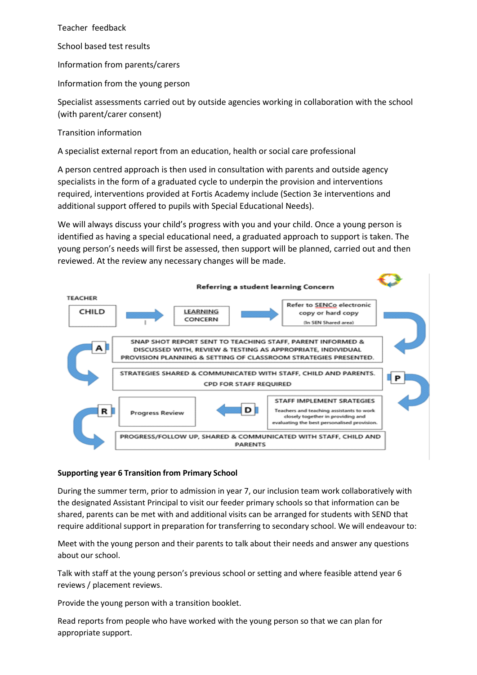Teacher feedback

School based test results

Information from parents/carers

Information from the young person

Specialist assessments carried out by outside agencies working in collaboration with the school (with parent/carer consent)

Transition information

A specialist external report from an education, health or social care professional

A person centred approach is then used in consultation with parents and outside agency specialists in the form of a graduated cycle to underpin the provision and interventions required, interventions provided at Fortis Academy include (Section 3e interventions and additional support offered to pupils with Special Educational Needs).

We will always discuss your child's progress with you and your child. Once a young person is identified as having a special educational need, a graduated approach to support is taken. The young person's needs will first be assessed, then support will be planned, carried out and then reviewed. At the review any necessary changes will be made.



## **Supporting year 6 Transition from Primary School**

During the summer term, prior to admission in year 7, our inclusion team work collaboratively with the designated Assistant Principal to visit our feeder primary schools so that information can be shared, parents can be met with and additional visits can be arranged for students with SEND that require additional support in preparation for transferring to secondary school. We will endeavour to:

Meet with the young person and their parents to talk about their needs and answer any questions about our school.

Talk with staff at the young person's previous school or setting and where feasible attend year 6 reviews / placement reviews.

Provide the young person with a transition booklet.

Read reports from people who have worked with the young person so that we can plan for appropriate support.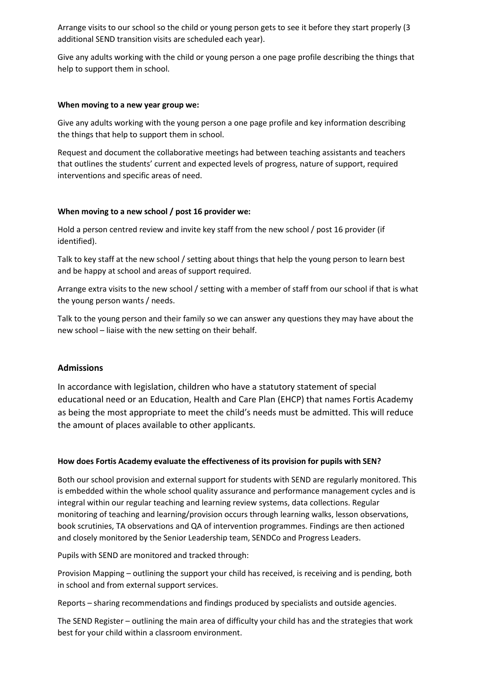Arrange visits to our school so the child or young person gets to see it before they start properly (3 additional SEND transition visits are scheduled each year).

Give any adults working with the child or young person a one page profile describing the things that help to support them in school.

#### **When moving to a new year group we:**

Give any adults working with the young person a one page profile and key information describing the things that help to support them in school.

Request and document the collaborative meetings had between teaching assistants and teachers that outlines the students' current and expected levels of progress, nature of support, required interventions and specific areas of need.

#### **When moving to a new school / post 16 provider we:**

Hold a person centred review and invite key staff from the new school / post 16 provider (if identified).

Talk to key staff at the new school / setting about things that help the young person to learn best and be happy at school and areas of support required.

Arrange extra visits to the new school / setting with a member of staff from our school if that is what the young person wants / needs.

Talk to the young person and their family so we can answer any questions they may have about the new school – liaise with the new setting on their behalf.

#### **Admissions**

In accordance with legislation, children who have a statutory statement of special educational need or an Education, Health and Care Plan (EHCP) that names Fortis Academy as being the most appropriate to meet the child's needs must be admitted. This will reduce the amount of places available to other applicants.

#### **How does Fortis Academy evaluate the effectiveness of its provision for pupils with SEN?**

Both our school provision and external support for students with SEND are regularly monitored. This is embedded within the whole school quality assurance and performance management cycles and is integral within our regular teaching and learning review systems, data collections. Regular monitoring of teaching and learning/provision occurs through learning walks, lesson observations, book scrutinies, TA observations and QA of intervention programmes. Findings are then actioned and closely monitored by the Senior Leadership team, SENDCo and Progress Leaders.

Pupils with SEND are monitored and tracked through:

Provision Mapping – outlining the support your child has received, is receiving and is pending, both in school and from external support services.

Reports – sharing recommendations and findings produced by specialists and outside agencies.

The SEND Register – outlining the main area of difficulty your child has and the strategies that work best for your child within a classroom environment.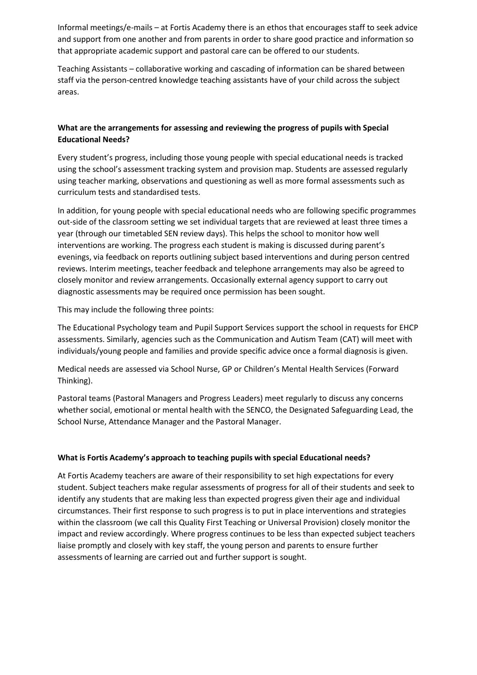Informal meetings/e-mails – at Fortis Academy there is an ethos that encourages staff to seek advice and support from one another and from parents in order to share good practice and information so that appropriate academic support and pastoral care can be offered to our students.

Teaching Assistants – collaborative working and cascading of information can be shared between staff via the person-centred knowledge teaching assistants have of your child across the subject areas.

## **What are the arrangements for assessing and reviewing the progress of pupils with Special Educational Needs?**

Every student's progress, including those young people with special educational needs is tracked using the school's assessment tracking system and provision map. Students are assessed regularly using teacher marking, observations and questioning as well as more formal assessments such as curriculum tests and standardised tests.

In addition, for young people with special educational needs who are following specific programmes out-side of the classroom setting we set individual targets that are reviewed at least three times a year (through our timetabled SEN review days). This helps the school to monitor how well interventions are working. The progress each student is making is discussed during parent's evenings, via feedback on reports outlining subject based interventions and during person centred reviews. Interim meetings, teacher feedback and telephone arrangements may also be agreed to closely monitor and review arrangements. Occasionally external agency support to carry out diagnostic assessments may be required once permission has been sought.

This may include the following three points:

The Educational Psychology team and Pupil Support Services support the school in requests for EHCP assessments. Similarly, agencies such as the Communication and Autism Team (CAT) will meet with individuals/young people and families and provide specific advice once a formal diagnosis is given.

Medical needs are assessed via School Nurse, GP or Children's Mental Health Services (Forward Thinking).

Pastoral teams (Pastoral Managers and Progress Leaders) meet regularly to discuss any concerns whether social, emotional or mental health with the SENCO, the Designated Safeguarding Lead, the School Nurse, Attendance Manager and the Pastoral Manager.

## **What is Fortis Academy's approach to teaching pupils with special Educational needs?**

At Fortis Academy teachers are aware of their responsibility to set high expectations for every student. Subject teachers make regular assessments of progress for all of their students and seek to identify any students that are making less than expected progress given their age and individual circumstances. Their first response to such progress is to put in place interventions and strategies within the classroom (we call this Quality First Teaching or Universal Provision) closely monitor the impact and review accordingly. Where progress continues to be less than expected subject teachers liaise promptly and closely with key staff, the young person and parents to ensure further assessments of learning are carried out and further support is sought.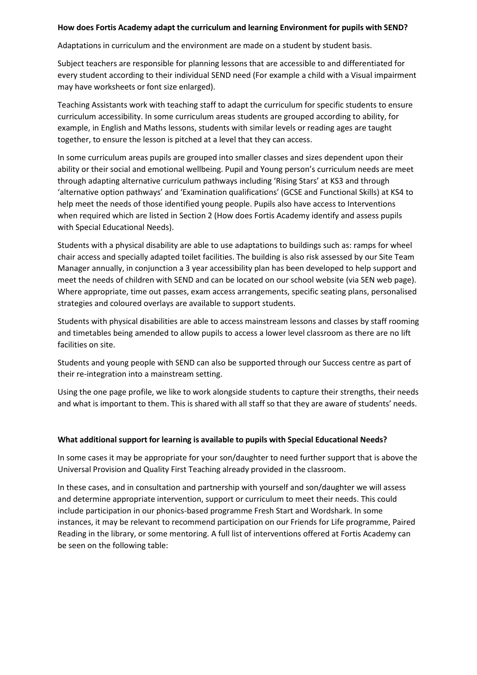#### **How does Fortis Academy adapt the curriculum and learning Environment for pupils with SEND?**

Adaptations in curriculum and the environment are made on a student by student basis.

Subject teachers are responsible for planning lessons that are accessible to and differentiated for every student according to their individual SEND need (For example a child with a Visual impairment may have worksheets or font size enlarged).

Teaching Assistants work with teaching staff to adapt the curriculum for specific students to ensure curriculum accessibility. In some curriculum areas students are grouped according to ability, for example, in English and Maths lessons, students with similar levels or reading ages are taught together, to ensure the lesson is pitched at a level that they can access.

In some curriculum areas pupils are grouped into smaller classes and sizes dependent upon their ability or their social and emotional wellbeing. Pupil and Young person's curriculum needs are meet through adapting alternative curriculum pathways including 'Rising Stars' at KS3 and through 'alternative option pathways' and 'Examination qualifications' (GCSE and Functional Skills) at KS4 to help meet the needs of those identified young people. Pupils also have access to Interventions when required which are listed in Section 2 (How does Fortis Academy identify and assess pupils with Special Educational Needs).

Students with a physical disability are able to use adaptations to buildings such as: ramps for wheel chair access and specially adapted toilet facilities. The building is also risk assessed by our Site Team Manager annually, in conjunction a 3 year accessibility plan has been developed to help support and meet the needs of children with SEND and can be located on our school website (via SEN web page). Where appropriate, time out passes, exam access arrangements, specific seating plans, personalised strategies and coloured overlays are available to support students.

Students with physical disabilities are able to access mainstream lessons and classes by staff rooming and timetables being amended to allow pupils to access a lower level classroom as there are no lift facilities on site.

Students and young people with SEND can also be supported through our Success centre as part of their re-integration into a mainstream setting.

Using the one page profile, we like to work alongside students to capture their strengths, their needs and what is important to them. This is shared with all staff so that they are aware of students' needs.

#### **What additional support for learning is available to pupils with Special Educational Needs?**

In some cases it may be appropriate for your son/daughter to need further support that is above the Universal Provision and Quality First Teaching already provided in the classroom.

In these cases, and in consultation and partnership with yourself and son/daughter we will assess and determine appropriate intervention, support or curriculum to meet their needs. This could include participation in our phonics-based programme Fresh Start and Wordshark. In some instances, it may be relevant to recommend participation on our Friends for Life programme, Paired Reading in the library, or some mentoring. A full list of interventions offered at Fortis Academy can be seen on the following table: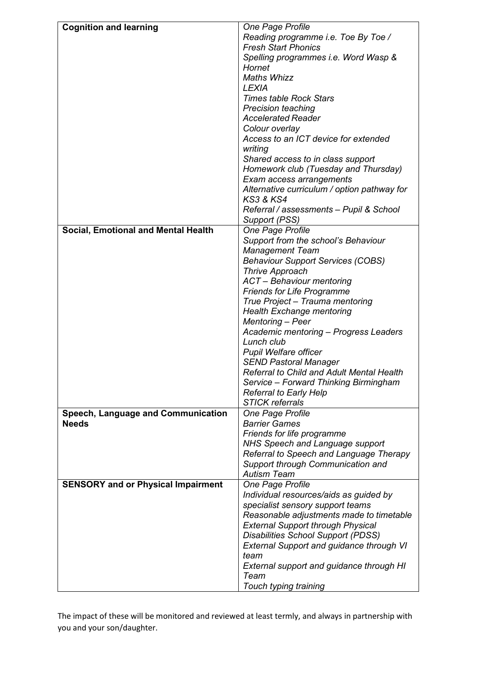| <b>Cognition and learning</b>              | One Page Profile                                                                 |
|--------------------------------------------|----------------------------------------------------------------------------------|
|                                            | Reading programme i.e. Toe By Toe /                                              |
|                                            | <b>Fresh Start Phonics</b>                                                       |
|                                            |                                                                                  |
|                                            | Spelling programmes i.e. Word Wasp &                                             |
|                                            | Hornet                                                                           |
|                                            | <b>Maths Whizz</b>                                                               |
|                                            | <b>LEXIA</b>                                                                     |
|                                            | <b>Times table Rock Stars</b>                                                    |
|                                            | <b>Precision teaching</b>                                                        |
|                                            | <b>Accelerated Reader</b>                                                        |
|                                            | Colour overlay                                                                   |
|                                            | Access to an ICT device for extended                                             |
|                                            | writing                                                                          |
|                                            | Shared access to in class support                                                |
|                                            | Homework club (Tuesday and Thursday)                                             |
|                                            | Exam access arrangements                                                         |
|                                            | Alternative curriculum / option pathway for                                      |
|                                            | <b>KS3 &amp; KS4</b>                                                             |
|                                            | Referral / assessments - Pupil & School                                          |
|                                            | Support (PSS)                                                                    |
| <b>Social, Emotional and Mental Health</b> | One Page Profile                                                                 |
|                                            | Support from the school's Behaviour                                              |
|                                            | <b>Management Team</b>                                                           |
|                                            | <b>Behaviour Support Services (COBS)</b>                                         |
|                                            | <b>Thrive Approach</b>                                                           |
|                                            | ACT - Behaviour mentoring                                                        |
|                                            | <b>Friends for Life Programme</b>                                                |
|                                            | True Project - Trauma mentoring                                                  |
|                                            | <b>Health Exchange mentoring</b>                                                 |
|                                            | Mentoring - Peer                                                                 |
|                                            | Academic mentoring – Progress Leaders                                            |
|                                            | Lunch club                                                                       |
|                                            |                                                                                  |
|                                            | <b>Pupil Welfare officer</b>                                                     |
|                                            | <b>SEND Pastoral Manager</b><br><b>Referral to Child and Adult Mental Health</b> |
|                                            |                                                                                  |
|                                            | Service - Forward Thinking Birmingham                                            |
|                                            | <b>Referral to Early Help</b>                                                    |
|                                            | <b>STICK referrals</b>                                                           |
| Speech, Language and Communication         | One Page Profile                                                                 |
| <b>Needs</b>                               | <b>Barrier Games</b>                                                             |
|                                            | Friends for life programme                                                       |
|                                            | <b>NHS Speech and Language support</b>                                           |
|                                            | Referral to Speech and Language Therapy                                          |
|                                            | Support through Communication and                                                |
|                                            | <b>Autism Team</b>                                                               |
| <b>SENSORY and or Physical Impairment</b>  | One Page Profile                                                                 |
|                                            | Individual resources/aids as guided by                                           |
|                                            | specialist sensory support teams                                                 |
|                                            | Reasonable adjustments made to timetable                                         |
|                                            | <b>External Support through Physical</b>                                         |
|                                            | <b>Disabilities School Support (PDSS)</b>                                        |
|                                            | <b>External Support and guidance through VI</b>                                  |
|                                            | team                                                                             |
|                                            | External support and guidance through HI                                         |
|                                            | Team                                                                             |
|                                            | Touch typing training                                                            |

The impact of these will be monitored and reviewed at least termly, and always in partnership with you and your son/daughter.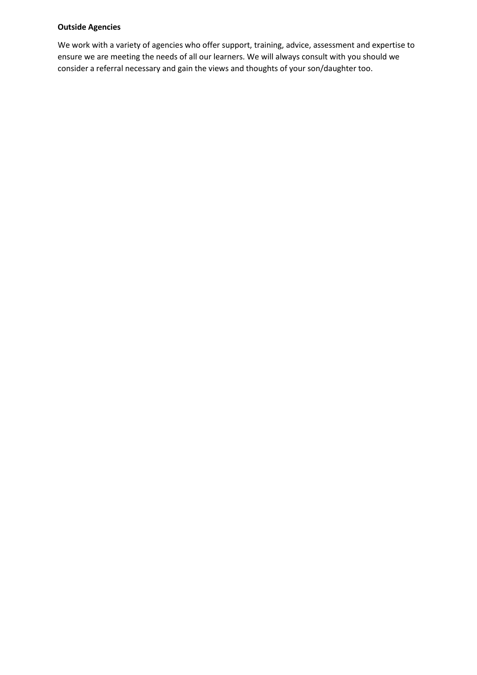#### **Outside Agencies**

We work with a variety of agencies who offer support, training, advice, assessment and expertise to ensure we are meeting the needs of all our learners. We will always consult with you should we consider a referral necessary and gain the views and thoughts of your son/daughter too.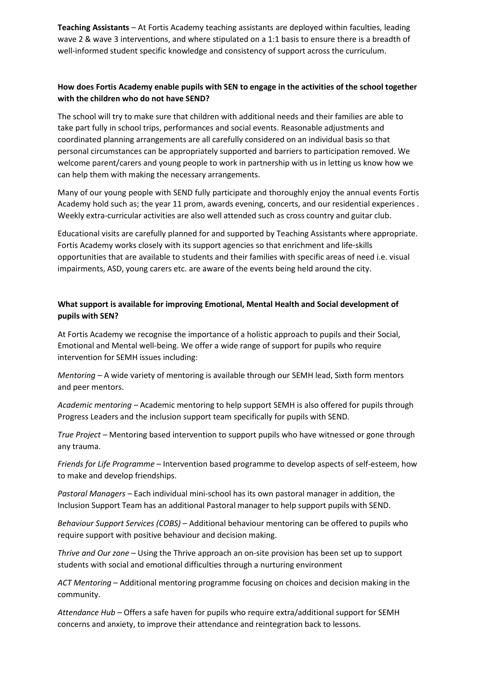**Teaching Assistants** – At Fortis Academy teaching assistants are deployed within faculties, leading wave 2 & wave 3 interventions, and where stipulated on a 1:1 basis to ensure there is a breadth of well-informed student specific knowledge and consistency of support across the curriculum.

## **How does Fortis Academy enable pupils with SEN to engage in the activities of the school together with the children who do not have SEND?**

The school will try to make sure that children with additional needs and their families are able to take part fully in school trips, performances and social events. Reasonable adjustments and coordinated planning arrangements are all carefully considered on an individual basis so that personal circumstances can be appropriately supported and barriers to participation removed. We welcome parent/carers and young people to work in partnership with us in letting us know how we can help them with making the necessary arrangements.

Many of our young people with SEND fully participate and thoroughly enjoy the annual events Fortis Academy hold such as; the year 11 prom, awards evening, concerts, and our residential experiences . Weekly extra-curricular activities are also well attended such as cross country and guitar club.

Educational visits are carefully planned for and supported by Teaching Assistants where appropriate. Fortis Academy works closely with its support agencies so that enrichment and life-skills opportunities that are available to students and their families with specific areas of need i.e. visual impairments, ASD, young carers etc. are aware of the events being held around the city.

## **What support is available for improving Emotional, Mental Health and Social development of pupils with SEN?**

At Fortis Academy we recognise the importance of a holistic approach to pupils and their Social, Emotional and Mental well-being. We offer a wide range of support for pupils who require intervention for SEMH issues including:

*Mentoring –* A wide variety of mentoring is available through our SEMH lead, Sixth form mentors and peer mentors.

*Academic mentoring –* Academic mentoring to help support SEMH is also offered for pupils through Progress Leaders and the inclusion support team specifically for pupils with SEND.

*True Project –* Mentoring based intervention to support pupils who have witnessed or gone through any trauma.

*Friends for Life Programme –* Intervention based programme to develop aspects of self-esteem, how to make and develop friendships.

*Pastoral Managers –* Each individual mini-school has its own pastoral manager in addition, the Inclusion Support Team has an additional Pastoral manager to help support pupils with SEND.

*Behaviour Support Services (COBS)* – Additional behaviour mentoring can be offered to pupils who require support with positive behaviour and decision making.

*Thrive and Our zone* – Using the Thrive approach an on-site provision has been set up to support students with social and emotional difficulties through a nurturing environment

*ACT Mentoring –* Additional mentoring programme focusing on choices and decision making in the community.

*Attendance Hub –* Offers a safe haven for pupils who require extra/additional support for SEMH concerns and anxiety, to improve their attendance and reintegration back to lessons.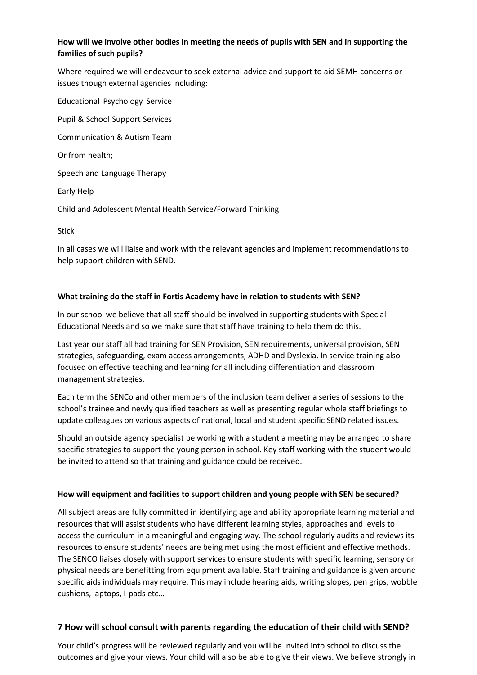## **How will we involve other bodies in meeting the needs of pupils with SEN and in supporting the families of such pupils?**

Where required we will endeavour to seek external advice and support to aid SEMH concerns or issues though external agencies including:

Educational Psychology Service Pupil & School Support Services Communication & Autism Team Or from health; Speech and Language Therapy Early Help Child and Adolescent Mental Health Service/Forward Thinking

Stick

In all cases we will liaise and work with the relevant agencies and implement recommendations to help support children with SEND.

#### **What training do the staff in Fortis Academy have in relation to students with SEN?**

In our school we believe that all staff should be involved in supporting students with Special Educational Needs and so we make sure that staff have training to help them do this.

Last year our staff all had training for SEN Provision, SEN requirements, universal provision, SEN strategies, safeguarding, exam access arrangements, ADHD and Dyslexia. In service training also focused on effective teaching and learning for all including differentiation and classroom management strategies.

Each term the SENCo and other members of the inclusion team deliver a series of sessions to the school's trainee and newly qualified teachers as well as presenting regular whole staff briefings to update colleagues on various aspects of national, local and student specific SEND related issues.

Should an outside agency specialist be working with a student a meeting may be arranged to share specific strategies to support the young person in school. Key staff working with the student would be invited to attend so that training and guidance could be received.

## **How will equipment and facilities to support children and young people with SEN be secured?**

All subject areas are fully committed in identifying age and ability appropriate learning material and resources that will assist students who have different learning styles, approaches and levels to access the curriculum in a meaningful and engaging way. The school regularly audits and reviews its resources to ensure students' needs are being met using the most efficient and effective methods. The SENCO liaises closely with support services to ensure students with specific learning, sensory or physical needs are benefitting from equipment available. Staff training and guidance is given around specific aids individuals may require. This may include hearing aids, writing slopes, pen grips, wobble cushions, laptops, I-pads etc…

## **7 How will school consult with parents regarding the education of their child with SEND?**

Your child's progress will be reviewed regularly and you will be invited into school to discuss the outcomes and give your views. Your child will also be able to give their views. We believe strongly in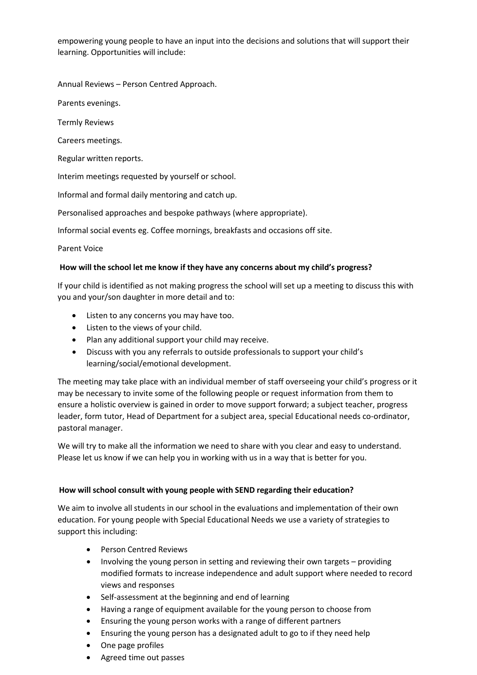empowering young people to have an input into the decisions and solutions that will support their learning. Opportunities will include:

Annual Reviews – Person Centred Approach.

Parents evenings.

Termly Reviews

Careers meetings.

Regular written reports.

Interim meetings requested by yourself or school.

Informal and formal daily mentoring and catch up.

Personalised approaches and bespoke pathways (where appropriate).

Informal social events eg. Coffee mornings, breakfasts and occasions off site.

Parent Voice

#### **How will the school let me know if they have any concerns about my child's progress?**

If your child is identified as not making progress the school will set up a meeting to discuss this with you and your/son daughter in more detail and to:

- Listen to any concerns you may have too.
- Listen to the views of your child.
- Plan any additional support your child may receive.
- Discuss with you any referrals to outside professionals to support your child's learning/social/emotional development.

The meeting may take place with an individual member of staff overseeing your child's progress or it may be necessary to invite some of the following people or request information from them to ensure a holistic overview is gained in order to move support forward; a subject teacher, progress leader, form tutor, Head of Department for a subject area, special Educational needs co-ordinator, pastoral manager.

We will try to make all the information we need to share with you clear and easy to understand. Please let us know if we can help you in working with us in a way that is better for you.

#### **How will school consult with young people with SEND regarding their education?**

We aim to involve all students in our school in the evaluations and implementation of their own education. For young people with Special Educational Needs we use a variety of strategies to support this including:

- Person Centred Reviews
- Involving the young person in setting and reviewing their own targets providing modified formats to increase independence and adult support where needed to record views and responses
- Self-assessment at the beginning and end of learning
- Having a range of equipment available for the young person to choose from
- Ensuring the young person works with a range of different partners
- Ensuring the young person has a designated adult to go to if they need help
- One page profiles
- Agreed time out passes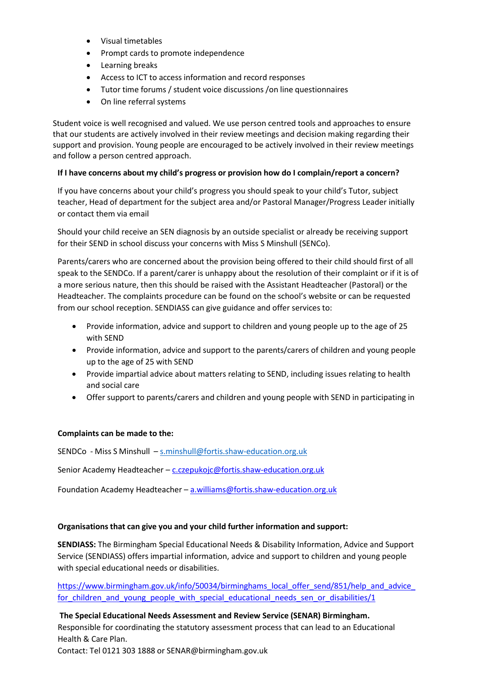- Visual timetables
- Prompt cards to promote independence
- Learning breaks
- Access to ICT to access information and record responses
- Tutor time forums / student voice discussions /on line questionnaires
- On line referral systems

Student voice is well recognised and valued. We use person centred tools and approaches to ensure that our students are actively involved in their review meetings and decision making regarding their support and provision. Young people are encouraged to be actively involved in their review meetings and follow a person centred approach.

## **If I have concerns about my child's progress or provision how do I complain/report a concern?**

If you have concerns about your child's progress you should speak to your child's Tutor, subject teacher, Head of department for the subject area and/or Pastoral Manager/Progress Leader initially or contact them via email

Should your child receive an SEN diagnosis by an outside specialist or already be receiving support for their SEND in school discuss your concerns with Miss S Minshull (SENCo).

Parents/carers who are concerned about the provision being offered to their child should first of all speak to the SENDCo. If a parent/carer is unhappy about the resolution of their complaint or if it is of a more serious nature, then this should be raised with the Assistant Headteacher (Pastoral) or the Headteacher. The complaints procedure can be found on the school's website or can be requested from our school reception. SENDIASS can give guidance and offer services to:

- Provide information, advice and support to children and young people up to the age of 25 with SEND
- Provide information, advice and support to the parents/carers of children and young people up to the age of 25 with SEND
- Provide impartial advice about matters relating to SEND, including issues relating to health and social care
- Offer support to parents/carers and children and young people with SEND in participating in

## **Complaints can be made to the:**

SENDCo - Miss S Minshull – [s.minshull@fortis.shaw-education.org.uk](mailto:s.minshull@fortis.shaw-education.org.uk)

Senior Academy Headteacher – [c.czepukojc@fortis.shaw-education.org.uk](mailto:c.czepukojc@fortis.shaw-education.org.uk)

Foundation Academy Headteacher – [a.williams@fortis.shaw-education.org.uk](mailto:a.williams@fortis.shaw-education.org.uk)

## **Organisations that can give you and your child further information and support:**

**SENDIASS:** The Birmingham Special Educational Needs & Disability Information, Advice and Support Service (SENDIASS) offers impartial information, advice and support to children and young people with special educational needs or disabilities.

https://www.birmingham.gov.uk/info/50034/birminghams\_local\_offer\_send/851/help\_and\_advice for children and young people with special educational needs sen or disabilities/1

**The Special Educational Needs Assessment and Review Service (SENAR) Birmingham.** Responsible for coordinating the statutory assessment process that can lead to an Educational Health & Care Plan. Contact: Tel 0121 303 1888 or [SENAR@birmingham.gov.uk](mailto:SENAR@birmingham.gov.uk)